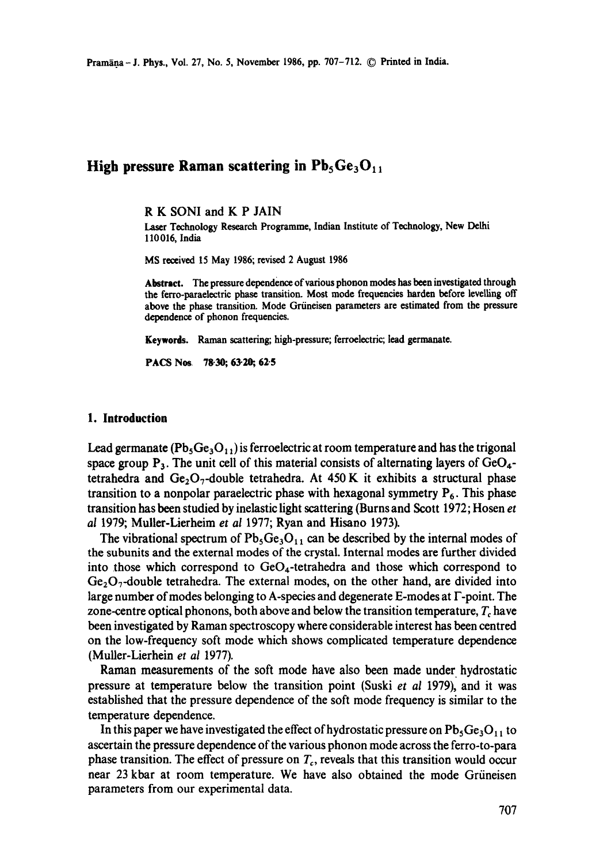# **High pressure Raman scattering in**  $Pb_5Ge_3O_{11}$

R K SONI and K P JAIN

laser Technology Research Programme, Indian Institute of Technology, New Delhi 110 016, India

MS received 15 May 1986; revised 2 August 1986

Abstract. The pressure dependence of various phonon modes has been investigated through the ferro-paraelectric phase transition. Most mode frequencies harden before levelling **off**  above the phase transition. Mode Grüneisen parameters are estimated from the pressure dependence of phonon frequencies.

**Keywords.** Raman scattering; high-pressure; ferroelectric; lead germanate.

**PACS Nos 78.30; 63-20, 62"5** 

#### **1. Introduction**

Lead germanate ( $Pb_5Ge_3O_{11}$ ) is ferroelectric at room temperature and has the trigonal space group  $P_3$ . The unit cell of this material consists of alternating layers of  $GeO_4$ tetrahedra and  $Ge_2O_7$ -double tetrahedra. At 450 K it exhibits a structural phase transition to a nonpolar paraelectric phase with hexagonal symmetry  $P_6$ . This phase transition has been studied by inelastic light scattering (Burns and Scott 1972; Hosen *et al* 1979; Muller-Lierheim *et al* 1977; Ryan and Hisano 1973).

The vibrational spectrum of  $Pb_5Ge_3O_{11}$  can be described by the internal modes of the subunits and the external modes of the crystal. Internal modes are further divided into those which correspond to  $GeO<sub>4</sub>$ -tetrahedra and those which correspond to  $Ge_2O_7$ -double tetrahedra. The external modes, on the other hand, are divided into large number ofmodes belonging to A-species and degenerate E-modes at F-point. The zone-centre optical phonons, both above and below the transition temperature,  $T_c$  have been investigated by Raman spectroscopy where considerable interest has been centred on the low-frequency soft mode which shows complicated temperature dependence (Muller-Lierhein *et al* 1977).

Raman measurements of the soft mode have also been made under hydrostatic pressure at temperature below the transition point (Suski *et al* 1979), and it was established that the pressure dependence of the soft mode frequency is similar to the temperature dependence.

In this paper we have investigated the effect of hydrostatic pressure on  $Pb_5Ge_3O_{11}$  to ascertain the pressure dependence of the various phonon mode across the ferro-to-para phase transition. The effect of pressure on  $T_c$ , reveals that this transition would occur near 23 kbar at room temperature. We have also obtained the mode Grüneisen parameters from our experimental data.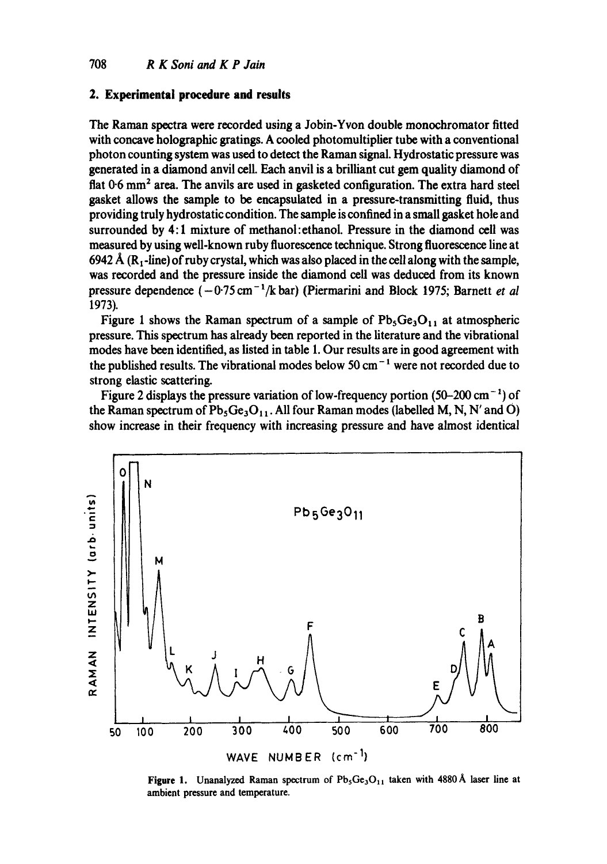## 2. Experimental procedure and results

The Raman spectra were recorded using a Jobin-Yvon double monochromator fitted with concave holographic gratings. A cooled photomultiplier tube with a conventional photon counting system was used to detect the Raman signal. Hydrostatic pressure was generated in a diamond anvil cell. Each anvil is a brilliant cut gem quality diamond of flat 0.6 mm<sup>2</sup> area. The anvils are used in gasketed configuration. The extra hard steel gasket allows the sample to be encapsulated in a pressure-transmitting fluid, thus providing truly hydrostatic condition. The sample is confined in a small gasket hole and surrounded by 4:1 mixture of methanol: ethanol. Pressure in the diamond cell was measured by using well-known ruby fluorescence technique. Strong fluorescence line at 6942 Å (R<sub>1</sub>-line) of ruby crystal, which was also placed in the cell along with the sample, was recorded and the pressure inside the diamond cell was deduced from its known pressure dependence  $(-0.75 \text{ cm}^{-1}/\text{k} \text{ bar})$  (Piermarini and Block 1975; Barnett et al 1973).

Figure 1 shows the Raman spectrum of a sample of  $Pb_5Ge_3O_{11}$  at atmospheric pressure. This spectrum has already been reported in the literature and the vibrational modes have been identified, as listed in table 1. Our results are in good agreement with the published results. The vibrational modes below 50 cm<sup> $-1$ </sup> were not recorded due to strong elastic scattering.

Figure 2 displays the pressure variation of low-frequency portion  $(50-200 \text{ cm}^{-1})$  of the Raman spectrum of  $Pb_5Ge_3O_{11}$ . All four Raman modes (labelled M, N, N' and O) show increase in their frequency with increasing pressure and have almost identical



Figure 1. Unanalyzed Raman spectrum of  $Pb_5Ge_3O_{11}$  taken with 4880 Å laser line at ambient pressure and temperature.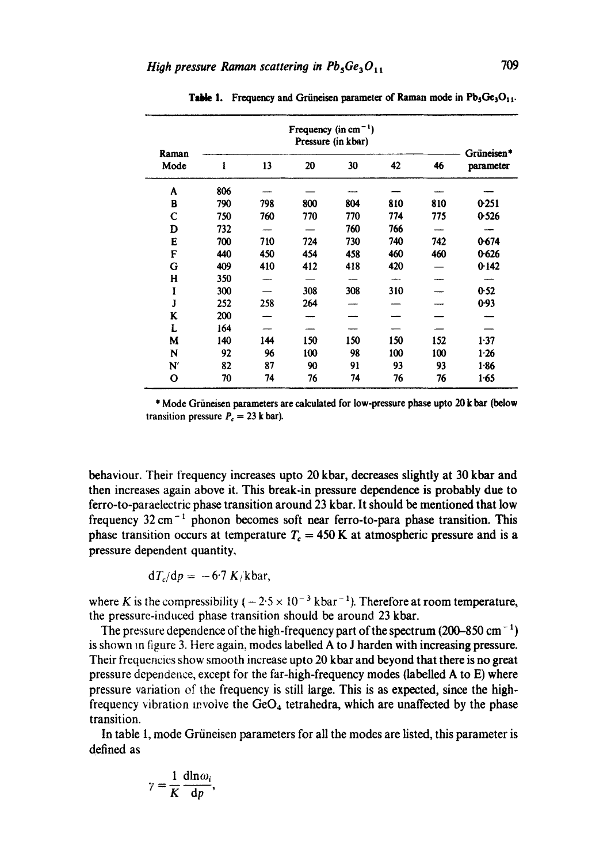|               | Frequency (in $cm^{-1}$ )<br>Pressure (in kbar) |     |     |     |     |     |                         |
|---------------|-------------------------------------------------|-----|-----|-----|-----|-----|-------------------------|
| Raman<br>Mode | 1                                               | 13  | 20  | 30  | 42  | 46  | Grüneisen*<br>parameter |
| A             | 806                                             |     |     |     |     |     |                         |
| В             | 790                                             | 798 | 800 | 804 | 810 | 810 | 0.251                   |
| С             | 750                                             | 760 | 770 | 770 | 774 | 775 | 0.526                   |
| D             | 732                                             |     |     | 760 | 766 |     |                         |
| E             | 700                                             | 710 | 724 | 730 | 740 | 742 | 0.674                   |
| F             | 440                                             | 450 | 454 | 458 | 460 | 460 | 0.626                   |
| G             | 409                                             | 410 | 412 | 418 | 420 |     | 0.142                   |
| н             | 350                                             |     |     |     |     |     |                         |
| I             | 300                                             |     | 308 | 308 | 310 |     | 0.52                    |
| J             | 252                                             | 258 | 264 |     |     |     | 0.93                    |
| K             | 200                                             |     |     |     |     |     |                         |
| L             | 164                                             |     |     |     |     |     |                         |
| M             | 140                                             | 144 | 150 | 150 | 150 | 152 | 1:37                    |
| N             | 92                                              | 96  | 100 | 98  | 100 | 100 | 1.26                    |
| N             | 82                                              | 87  | 90  | 91  | 93  | 93  | 1.86                    |
| О             | 70                                              | 74  | 76  | 74  | 76  | 76  | 1.65                    |

Table 1. Frequency and Grüneisen parameter of Raman mode in  $Pb_5Ge_3O_{11}$ .

\* Mode Griineisen parameters are calculated for low-pressure phase upto 20 k bar (below transition pressure  $P_c = 23$  k bar).

behaviour. Their frequency increases upto 20 kbar, decreases slightly at 30 kbar and then increases again above it. This break-in pressure dependence is probably due to ferro-to-paraelectric phase transition around 23 kbar. It should be mentioned that low frequency  $32 \text{ cm}^{-1}$  phonon becomes soft near ferro-to-para phase transition. This phase transition occurs at temperature  $T_c = 450$  K at atmospheric pressure and is a pressure dependent quantity,

$$
dT_c/dp = -6.7 K/kbar,
$$

where K is the compressibility  $(-2.5 \times 10^{-3} \text{ kbar}^{-1})$ . Therefore at room temperature, the pressure-induced phase transition should be around 23 kbar.

The pressure dependence of the high-frequency part of the spectrum (200–850 cm<sup>-1</sup>) is shown in figure 3. Here again, modes labelled A to J harden with increasing pressure. Their frequencies show smooth increase upto 20 kbar and beyond that there is no great pressure dependence, except for the far-high-frequency modes (labelled A to E) where pressure variation of the frequency is still large. This is as expected, since the highfrequency vibration involve the  $GeO<sub>4</sub>$  tetrahedra, which are unaffected by the phase transition.

In table 1, mode Grüneisen parameters for all the modes are listed, this parameter is defined as

$$
\gamma = \frac{1}{K} \frac{\mathrm{d} \ln \omega_i}{\mathrm{d} p},
$$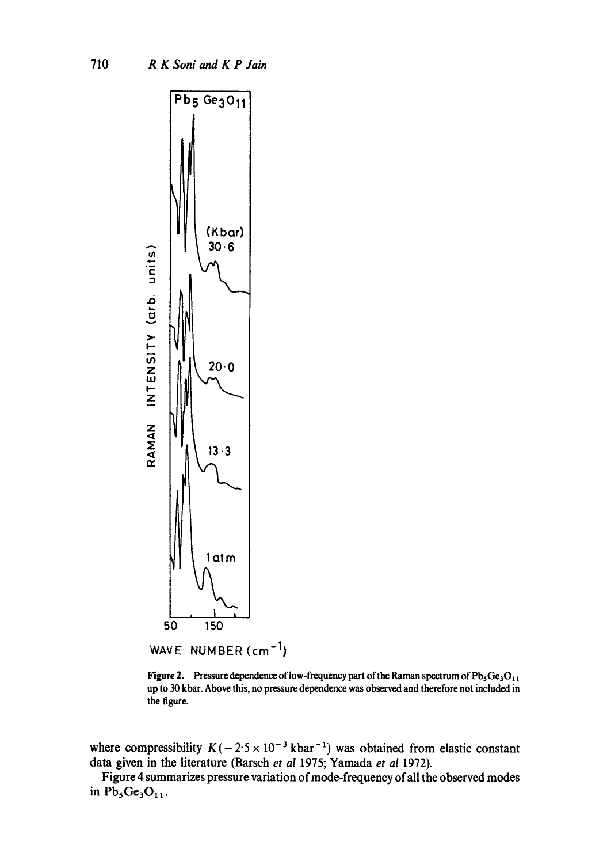

**Figure 2.** Pressure dependence of low-frequency part of the Raman spectrum of Pb<sub>3</sub>Ge<sub>3</sub>O<sub>11</sub> up to 30 **kbar. Above this, no pressure dependence was observed and therefore** not included in **the figure.** 

where compressibility  $K(-2.5 \times 10^{-3} \text{ kbar}^{-1})$  was obtained from elastic constant **data given in the literature (Barsch** *et al* **1975; Yamada** *et ai* **1972).** 

**Figure 4 summarizes pressure variation of mode-frequency of all the observed modes**  in  $Pb_5Ge_3O_{11}$ .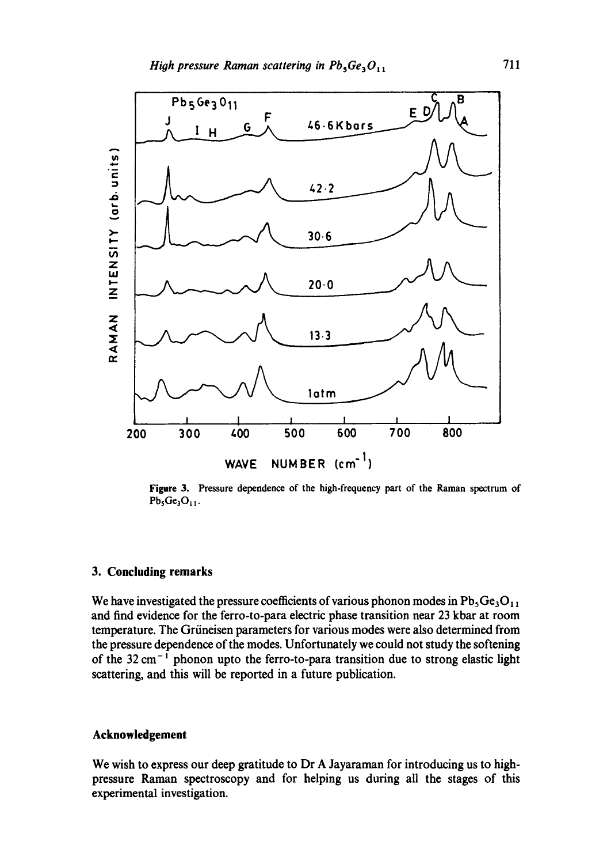

Figure 3. Pressure dependence of the high-frequency part of the Raman spectrum of  $Pb_5Ge_3O_{11}$ .

#### **3. Concluding remarks**

We have investigated the pressure coefficients of various phonon modes in  $Pb_5Ge_3O_{11}$ and find evidence for the ferro-to-para electric phase transition near 23 kbar at room temperature. The Grüneisen parameters for various modes were also determined from the pressure dependence of the modes. Unfortunately we could not study the softening of the  $32 \text{ cm}^{-1}$  phonon upto the ferro-to-para transition due to strong elastic light scattering, and this will be reported in a future publication.

#### **Acknowledgement**

We wish to express our deep gratitude to Dr A Jayaraman for introducing us to highpressure Raman spectroscopy and for helping us during all the stages of this experimental investigation.